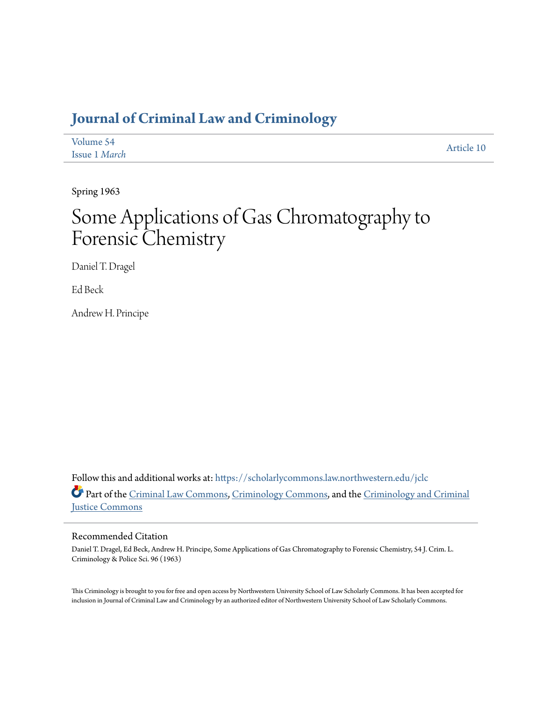# **[Journal of Criminal Law and Criminology](https://scholarlycommons.law.northwestern.edu/jclc?utm_source=scholarlycommons.law.northwestern.edu%2Fjclc%2Fvol54%2Fiss1%2F10&utm_medium=PDF&utm_campaign=PDFCoverPages)**

| Volume 54     | Article 10 |
|---------------|------------|
| Issue 1 March |            |

Spring 1963

# Some Applications of Gas Chromatography to Forensic Chemistry

Daniel T. Dragel

Ed Beck

Andrew H. Principe

Follow this and additional works at: [https://scholarlycommons.law.northwestern.edu/jclc](https://scholarlycommons.law.northwestern.edu/jclc?utm_source=scholarlycommons.law.northwestern.edu%2Fjclc%2Fvol54%2Fiss1%2F10&utm_medium=PDF&utm_campaign=PDFCoverPages) Part of the [Criminal Law Commons](http://network.bepress.com/hgg/discipline/912?utm_source=scholarlycommons.law.northwestern.edu%2Fjclc%2Fvol54%2Fiss1%2F10&utm_medium=PDF&utm_campaign=PDFCoverPages), [Criminology Commons](http://network.bepress.com/hgg/discipline/417?utm_source=scholarlycommons.law.northwestern.edu%2Fjclc%2Fvol54%2Fiss1%2F10&utm_medium=PDF&utm_campaign=PDFCoverPages), and the [Criminology and Criminal](http://network.bepress.com/hgg/discipline/367?utm_source=scholarlycommons.law.northwestern.edu%2Fjclc%2Fvol54%2Fiss1%2F10&utm_medium=PDF&utm_campaign=PDFCoverPages) [Justice Commons](http://network.bepress.com/hgg/discipline/367?utm_source=scholarlycommons.law.northwestern.edu%2Fjclc%2Fvol54%2Fiss1%2F10&utm_medium=PDF&utm_campaign=PDFCoverPages)

# Recommended Citation

Daniel T. Dragel, Ed Beck, Andrew H. Principe, Some Applications of Gas Chromatography to Forensic Chemistry, 54 J. Crim. L. Criminology & Police Sci. 96 (1963)

This Criminology is brought to you for free and open access by Northwestern University School of Law Scholarly Commons. It has been accepted for inclusion in Journal of Criminal Law and Criminology by an authorized editor of Northwestern University School of Law Scholarly Commons.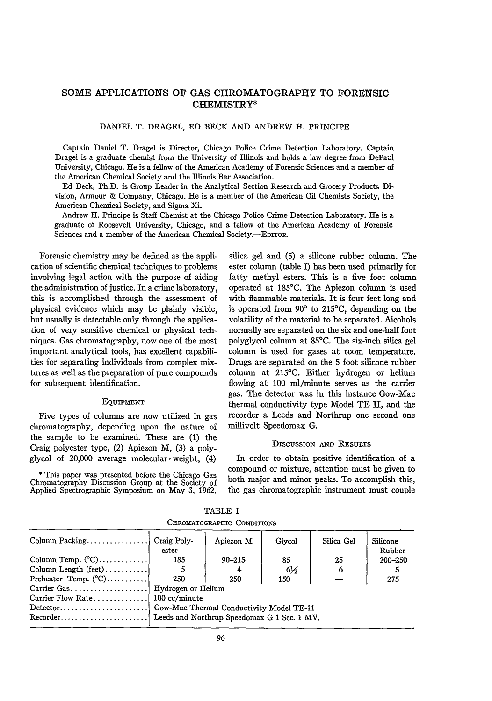## **SOME** APPLICATIONS OF **GAS** CHROMATOGRAPHY TO **FORENSIC** CHEMISTRY\*

DANIEL T. DRAGEL, ED BECK AND ANDREW H. PRINCIPE

Captain Daniel T. Dragel is Director, Chicago Police Crime Detection Laboratory. Captain Dragel is a graduate chemist from the University of Illinois and holds a law degree from DePaul University, Chicago. He is a fellow of the American Academy of Forensic Sciences and a member of the American Chemical Society and the Illinois Bar Association.

Ed Beck, Ph.D. is Group Leader in the Analytical Section Research and Grocery Products Division, Armour & Company, Chicago. He is a member of the American Oil Chemists Society, the American Chemical Society, and Sigma Xi.

Andrew H. Principe is Staff Chemist at the Chicago Police Crime Detection Laboratory. He is a graduate of Roosevelt University, Chicago, and a fellow of the American Academy of Forensic Sciences and a member of the American Chemical Society.--EDITOR.

Forensic chemistry may be defined as the application of scientific chemical techniques to problems involving legal action with the purpose of aiding the administration of justice. In a crime laboratory, this is accomplished through the assessment of physical evidence which may be plainly visible, but usually is detectable only through the application of very sensitive chemical or physical techniques. Gas chromatography, now one of the most important analytical tools, has excellent capabilities for separating individuals from complex mixtures as well as the preparation of pure compounds for subsequent identification.

#### **EQUIPMENT**

Five types of columns are now utilized in gas chromatography, depending upon the nature of the sample to be examined. These are (1) the Craig polyester type, (2) Apiezon M, (3) a polyglycol of 20,000 average molecular weight,  $(4)$ 

**\*** This paper was presented before the Chicago Gas Chromatography Discussion Group at the Society of Applied Spectrographic Symposium on May 3, 1962.

silica gel and (5) a silicone rubber column. The ester column (table I) has been used primarily for fatty methyl esters. This is a five foot column operated at 185°C. The Apiezon column is used with flammable materials. It is four feet long and is operated from 90° to 215°C, depending on the volatility of the material to be separated. Alcohols normally are separated on the six and one-half foot polyglycol column at 85'C. The six-inch silica gel column is used for gases at room temperature. Drugs are separated on the 5 foot silicone rubber column at 215°C. Either hydrogen or helium flowing at 100 ml/minute serves as the carrier gas. The detector was in this instance Cow-Mac thermal conductivity type Model TE II, and the recorder a Leeds and Northrup one second one millivolt Speedomax G.

### DIscussIoN **AND** RESULTS

In order to obtain positive identification of a compound or mixture, attention must be given to both major and minor peaks. To accomplish this, the gas chromatographic instrument must couple

| Column Packing  Craig Poly-     | ester | Apiezon M  | Glycol | Silica Gel | Silicone<br>Rubber |
|---------------------------------|-------|------------|--------|------------|--------------------|
| Column Temp. $({}^{\circ}C)$    | 185   | $90 - 215$ | 85     | 25         | 200-250            |
| Column Length $(fect)$          |       |            | 61/2   | -6         |                    |
| Preheater Temp. $({}^{\circ}C)$ | 250   | 250        | 150    |            | 275                |
| Carrier Gas  Hydrogen or Helium |       |            |        |            |                    |
|                                 |       |            |        |            |                    |
|                                 |       |            |        |            |                    |
|                                 |       |            |        |            |                    |

| TABLE I                    |  |
|----------------------------|--|
| CHROMATOGRAPHIC CONDITIONS |  |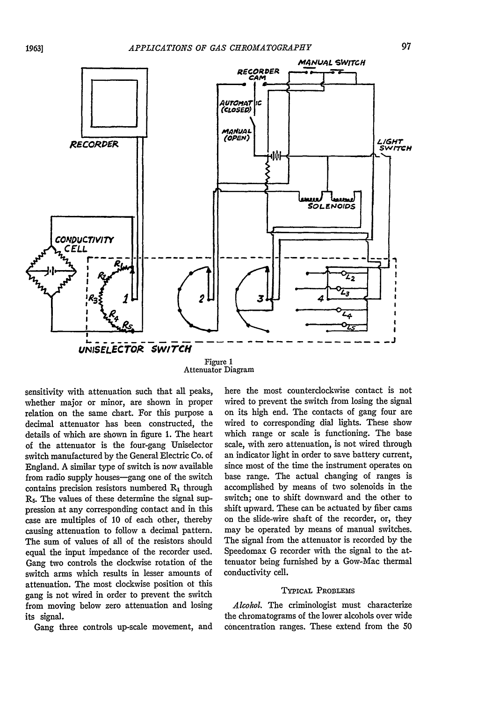

Figure **1** Attenuator Diagram

sensitivity with attenuation such that all peaks, whether major or minor, are shown in proper relation on the same chart. For this purpose a decimal attenuator has been constructed, the details of which are shown in figure 1. The heart of the attenuator is the four-gang Uniselector switch manufactured by the General Electric Co. of England. A similar type of switch is now available from radio supply houses-gang one of the switch contains precision resistors numbered  $R_1$  through R5. The values of these determine the signal suppression at any corresponding contact and in this case are multiples of 10 of each other, thereby causing attenuation to follow a decimal pattern. The sum of values of all of the resistors should equal the input impedance of the recorder used. Gang two controls the clockwise rotation of the switch arms which results in lesser amounts of attenuation. The most clockwise position ot this gang is not wired in order to prevent the switch from moving below zero attenuation and losing its signal.

Gang three controls up-scale movement, and

here the most counterclockwise contact is not wired to prevent the switch from losing the signal on its high end. The contacts of gang four are wired to corresponding dial lights. These show which range or scale is functioning. The base scale, with zero attenuation, is not wired through an indicator light in order to save battery current, since most of the time the instrument operates on base range. The actual changing of ranges is accomplished by means of two solenoids in the switch; one to shift downward and the other to shift upward. These can be actuated by fiber cams on the slide-wire shaft of the recorder, or, they may be operated by means of manual switches. The signal from the attenuator is recorded by the Speedomax G recorder with the signal to the attenuator being furnished by a Gow-Mac thermal conductivity cell.

#### TYPIcAL PROBLEmS

*Alcohol.* The criminologist must characterize the chromatograms of the lower alcohols over wide concentration ranges. These extend from the 50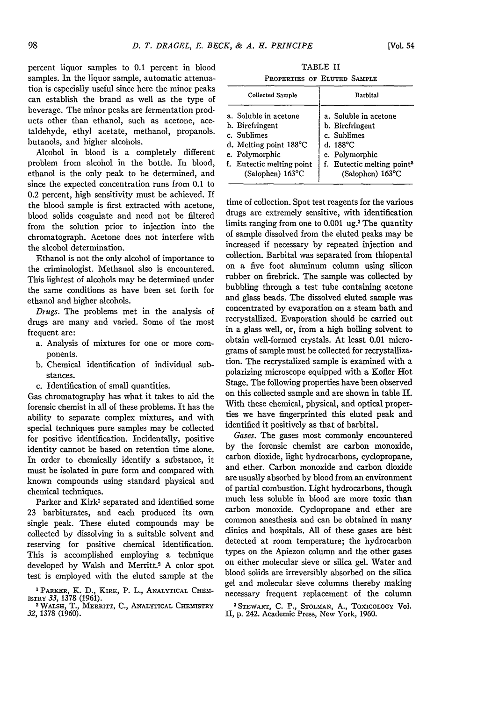percent liquor samples to 0.1 percent in blood samples. In the liquor sample, automatic attenuation is especially useful since here the minor peaks can establish the brand as well as the type of beverage. The minor peaks are fermentation products other than ethanol, such as acetone, acetaldehyde, ethyl acetate, methanol, propanols. butanols, and higher alcohols.

Alcohol in blood is a completely different problem from alcohol in the bottle. In blood, ethanol is the only peak to be determined, and since the expected concentration runs from 0.1 to 0.2 percent, high sensitivity must be achieved. If the blood sample is first extracted with acetone, blood solids coagulate and need not be filtered from the solution prior to injection into the chromatograph. Acetone does not interfere with the alcohol determination.

Ethanol is not the only alcohol of importance to the criminologist. Methanol also is encountered. This lightest of alcohols may be determined under the same conditions as have been set forth for ethanol and higher alcohols.

*Drugs.* The problems met in the analysis of drugs are many and varied. Some of the most frequent are:

- a. Analysis of mixtures for one or more components.
- b. Chemical identification of individual substances.
- c. Identification of small quantities.

Gas chromatography has what it takes to aid the forensic chemist in all of these problems. It has the ability to separate complex mixtures, and with special techniques pure samples may be collected for positive identification. Incidentally, positive identity cannot be based on retention time alone. In order to chemically identify a substance, it must be isolated in pure form and compared with known compounds using standard physical and chemical techniques.

Parker and Kirk' separated and identified some 23 barbiturates, and each produced its own single peak. These eluted compounds may be collected by dissolving in a suitable solvent and reserving for positive chemical identification. This is accomplished employing a technique developed by Walsh and Merritt.2 A color spot test is employed with the eluted sample at the

TABLE II PROPERTIES OF **ELUTED SAMPLE**

| Collected Sample |                                                         | Barbital                                                   |  |  |  |
|------------------|---------------------------------------------------------|------------------------------------------------------------|--|--|--|
|                  | a. Soluble in acetone<br>b. Birefringent<br>c. Sublimes | a. Soluble in acetone<br>b. Birefringent<br>c. Sublimes    |  |  |  |
|                  | d. Melting point 188°C                                  | d. $188^{\circ}$ C                                         |  |  |  |
|                  | e. Polymorphic                                          | e. Polymorphic                                             |  |  |  |
|                  | f. Eutectic melting point<br>(Salophen) 163°C           | f. Eutectic melting point <sup>5</sup><br>(Salophen) 163°C |  |  |  |

time of collection. Spot test reagents for the various drugs are extremely sensitive, with identification limits ranging from one to  $0.001$  ug.<sup>3</sup> The quantity of sample dissolved from the eluted peaks may be increased if necessary by repeated injection and collection. Barbital was separated from thiopental on a five foot aluminum column using silicon rubber on firebrick. The sample was collected by bubbling through a test tube containing acetone and glass beads. The dissolved eluted sample was concentrated by evaporation on a steam bath and recrystallized. Evaporation should be carried out in a glass well, or, from a high boiling solvent to obtain well-formed crystals. At least 0.01 micrograms of sample must be collected for recrystallization. The recrystalized sample is examined with a polarizing microscope equipped with a Kofler Hot Stage. The following properties have been observed on this collected sample and are shown in table II. With these chemical, physical, and optical properties we have fingerprinted this eluted peak and identified it positively as that of barbital.

Gases. The gases most commonly encountered by the forensic chemist are carbon monoxide, carbon dioxide, light hydrocarbons, cyclopropane, and ether. Carbon monoxide and carbon dioxide are usually absorbed by blood from an environment of partial combustion. Light hydrocarbons, though much less soluble in blood are more toxic than carbon monoxide. Cyclopropane and ether are common anesthesia and can be obtained in many clinics and hospitals. All of these gases are best detected at room temperature; the hydrocarbon types on the Apiezon column and the other gases on either molecular sieve or silica gel. Water and blood solids are irreversibly absorbed on the silica gel and molecular sieve columns thereby making necessary frequent replacement of the column

**3** STEWART, C. P., **STOLuAN, A.,** TOXICOLOGY Vol. II, **p.** 242. Academic Press, New York, 1960.

**<sup>&#</sup>x27;** PARKER, K. D., KIRK, P. L., ANALYTICAL **CHEI-**ISTRY *33,* 1378 (1961).

<sup>2</sup> **WAISH,** T., MERRITT, C., ANALYTICAL CHEMISTRY *32,* 1378 (1960).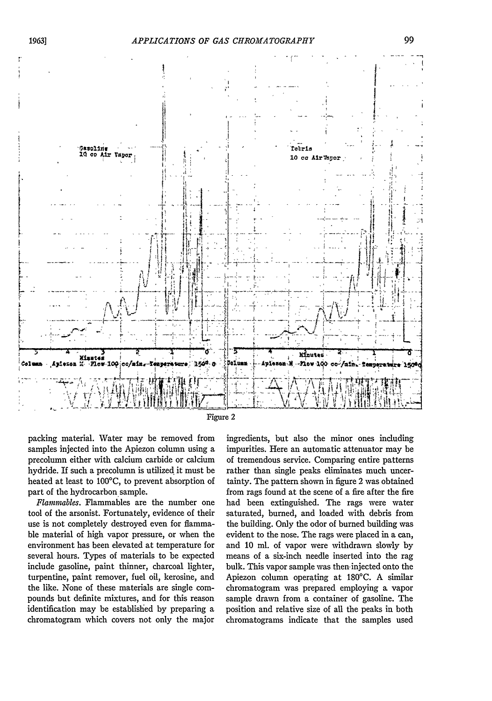



packing material. Water may be removed from samples injected into the Apiezon column using a precolumn either with calcium carbide or calcium hydride. If such a precolumn is utilized it must be heated at least to 100°C, to prevent absorption of part of the hydrocarbon sample.

**1963]**

*Flammables.* Flammables are the number one tool of the arsonist. Fortunately, evidence of their use is not completely destroyed even for flammable material of high vapor pressure, or when the environment has been elevated at temperature for several hours. Types of materials to be expected include gasoline, paint thinner, charcoal lighter, turpentine, paint remover, fuel oil, kerosine, and the like. None of these materials are single compounds but definite mixtures, and for this reason identification may be established by preparing a chromatogram which covers not only the major

ingredients, but also the minor ones including impurities. Here an automatic attenuator may be of tremendous service. Comparing entire patterns rather than single peaks eliminates much uncertainty. The pattern shown in figure 2 was obtained from rags found at the scene of a fire after the fire had been extinguished. The rags were water saturated, burned, and loaded with debris from the building. Only the odor of burned building was evident to the nose. The rags were placed in a can, and 10 ml. of vapor were withdrawn slowly by means of a six-inch needle inserted into the rag bulk. This vapor sample was then-injected onto the Apiezon column operating at 180'C. A similar chromatogram was prepared employing a vapor sample drawn from a container of gasoline. The position and relative size of all the peaks in both chromatograms indicate that the samples used